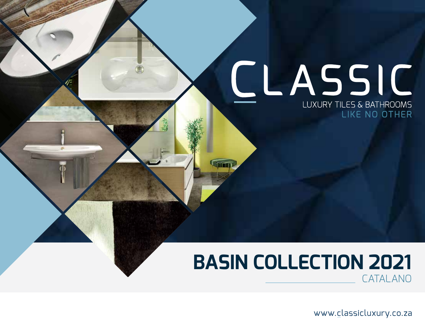# CLASSIC LUXURY TILES & BATHROOMS LIKE NO OTHER

### **BASIN COLLECTION 2021** CATALANO

www.classicluxury.co.za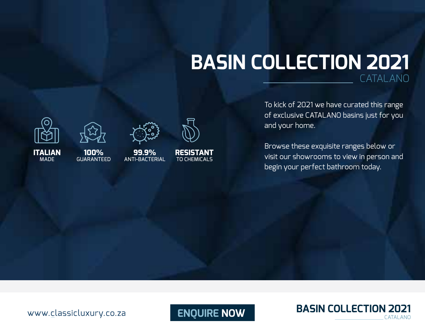### **BASIN COLLECTION 2021** CATALANO

To kick of 2021 we have curated this range of exclusive CATALANO basins just for you and your home.

Browse these exquisite ranges below or visit our showrooms to view in person and begin your perfect bathroom today.

**ITALIAN** MADE





**100%**  GUARANTEED

**99.9%** ANTI-BACTERIAL

**RESISTANT** TO CHEMICALS

**ENQUIRE NOW BASIN COLLECTION 2021** 

www.classicluxury.co.za

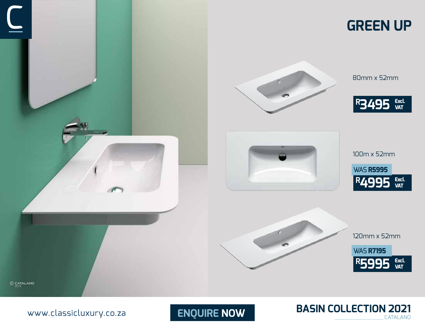

www.classicluxury.co.za

**ENQUIRE NOW BASIN COLLECTION 2021** 

80mm x 52mm

**R3495 Excl. VAT**

100m x 52mm

WAS **R5995**

**R4995 Excl. VAT**

120mm x 52mm

WAS **R7195**

**R5995 Excl. VAT**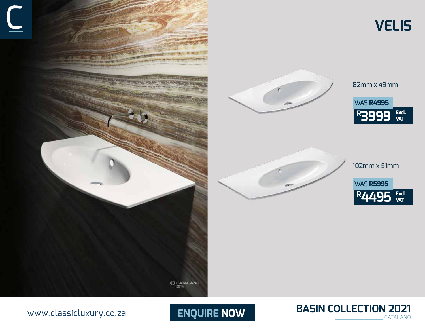



82mm x 49mm **R3999 Excl.**<br>VAT WAS **R4995**

**VELIS**



102mm x 51mm

**R4495 Excl. VAT** WAS **R5995**



#### www.classicluxury.co.za

**ENQUIRE NOW**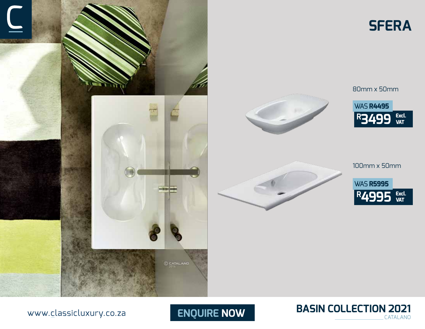





80mm x 50mm





100mm x 50mm





www.classicluxury.co.za

**ENQUIRE NOW**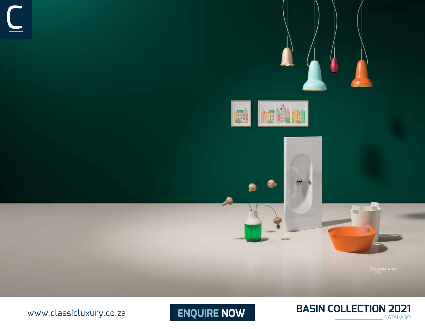

www.classicluxury.co.za



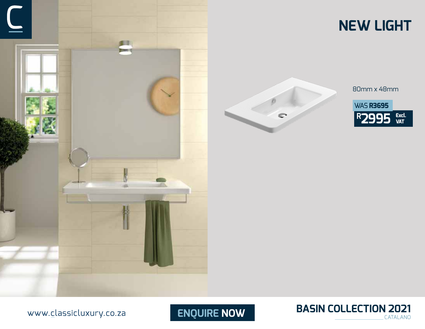





80mm x 48mm







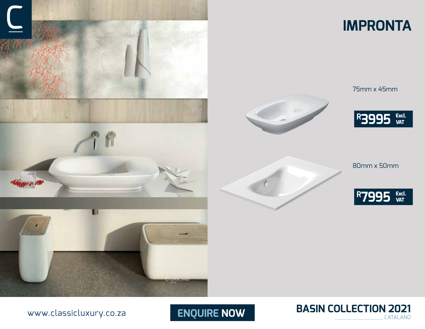

### **IMPRONTA**



75mm x 45mm



80mm x 50mm





www.classicluxury.co.za

**ENQUIRE NOW**